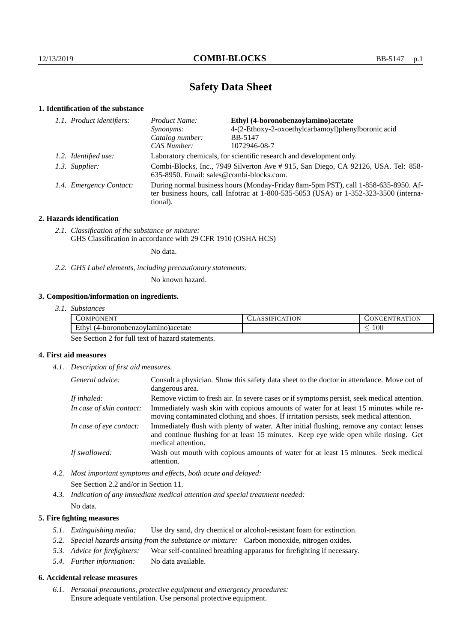# **Safety Data Sheet**

# **1. Identification of the substance**

|  | 1.1. Product identifiers: | Ethyl (4-boronobenzoylamino)acetate<br>Product Name:                                                                                                                                        |                                                    |  |
|--|---------------------------|---------------------------------------------------------------------------------------------------------------------------------------------------------------------------------------------|----------------------------------------------------|--|
|  |                           | Synonyms:                                                                                                                                                                                   | 4-(2-Ethoxy-2-oxoethylcarbamoyl)phenylboronic acid |  |
|  |                           | Catalog number:                                                                                                                                                                             | <b>BB-5147</b>                                     |  |
|  |                           | CAS Number:                                                                                                                                                                                 | 1072946-08-7                                       |  |
|  | 1.2. Identified use:      | Laboratory chemicals, for scientific research and development only.                                                                                                                         |                                                    |  |
|  | 1.3. Supplier:            | Combi-Blocks, Inc., 7949 Silverton Ave # 915, San Diego, CA 92126, USA. Tel: 858-<br>635-8950. Email: sales@combi-blocks.com.                                                               |                                                    |  |
|  | 1.4. Emergency Contact:   | During normal business hours (Monday-Friday 8am-5pm PST), call 1-858-635-8950. Af-<br>ter business hours, call Infotrac at $1-800-535-5053$ (USA) or $1-352-323-3500$ (interna-<br>tional). |                                                    |  |

### **2. Hazards identification**

*2.1. Classification of the substance or mixture:* GHS Classification in accordance with 29 CFR 1910 (OSHA HCS)

No data.

*2.2. GHS Label elements, including precautionary statements:*

No known hazard.

## **3. Composition/information on ingredients.**

| 3.1. Substances |
|-----------------|
|                 |

| OM<br><b>HN</b><br>$\cdot$ $\sim$                    | ATION | EN<br>N<br>тк.                  |
|------------------------------------------------------|-------|---------------------------------|
| Ethy.<br>) )acetate<br>'lamınc<br>. (4-boronobenzov) |       | 100<br>$\overline{\phantom{a}}$ |

See Section 2 for full text of hazard statements.

## **4. First aid measures**

*4.1. Description of first aid measures.*

| General advice:          | Consult a physician. Show this safety data sheet to the doctor in attendance. Move out of<br>dangerous area.                                                                                            |
|--------------------------|---------------------------------------------------------------------------------------------------------------------------------------------------------------------------------------------------------|
| If inhaled:              | Remove victim to fresh air. In severe cases or if symptoms persist, seek medical attention.                                                                                                             |
| In case of skin contact: | Immediately wash skin with copious amounts of water for at least 15 minutes while re-<br>moving contaminated clothing and shoes. If irritation persists, seek medical attention.                        |
| In case of eye contact:  | Immediately flush with plenty of water. After initial flushing, remove any contact lenses<br>and continue flushing for at least 15 minutes. Keep eye wide open while rinsing. Get<br>medical attention. |
| If swallowed:            | Wash out mouth with copious amounts of water for at least 15 minutes. Seek medical<br>attention.                                                                                                        |

*4.2. Most important symptoms and effects, both acute and delayed:* See Section 2.2 and/or in Section 11.

*4.3. Indication of any immediate medical attention and special treatment needed:* No data.

### **5. Fire fighting measures**

- *5.1. Extinguishing media:* Use dry sand, dry chemical or alcohol-resistant foam for extinction.
- *5.2. Special hazards arising from the substance or mixture:* Carbon monoxide, nitrogen oxides.
- *5.3. Advice for firefighters:* Wear self-contained breathing apparatus for firefighting if necessary.
- *5.4. Further information:* No data available.

#### **6. Accidental release measures**

*6.1. Personal precautions, protective equipment and emergency procedures:* Ensure adequate ventilation. Use personal protective equipment.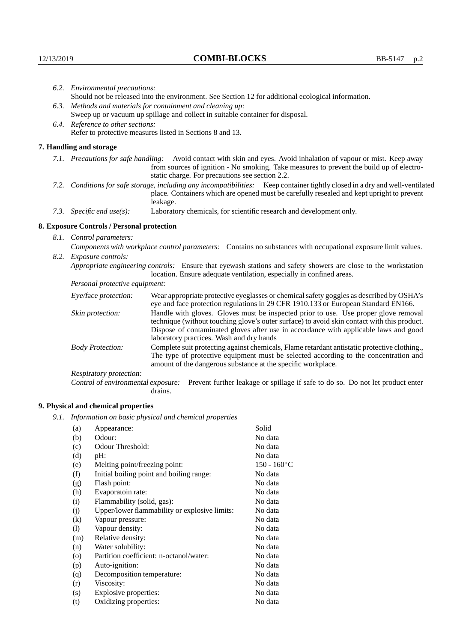|                                                                                                               | 6.2. Environmental precautions:                                                |                                                                                                                                                                                                                                                                                                                        |  |  |
|---------------------------------------------------------------------------------------------------------------|--------------------------------------------------------------------------------|------------------------------------------------------------------------------------------------------------------------------------------------------------------------------------------------------------------------------------------------------------------------------------------------------------------------|--|--|
|                                                                                                               |                                                                                | Should not be released into the environment. See Section 12 for additional ecological information.                                                                                                                                                                                                                     |  |  |
|                                                                                                               | 6.3. Methods and materials for containment and cleaning up:                    |                                                                                                                                                                                                                                                                                                                        |  |  |
|                                                                                                               | Sweep up or vacuum up spillage and collect in suitable container for disposal. |                                                                                                                                                                                                                                                                                                                        |  |  |
| 6.4. Reference to other sections:                                                                             |                                                                                |                                                                                                                                                                                                                                                                                                                        |  |  |
| Refer to protective measures listed in Sections 8 and 13.                                                     |                                                                                |                                                                                                                                                                                                                                                                                                                        |  |  |
|                                                                                                               | 7. Handling and storage                                                        |                                                                                                                                                                                                                                                                                                                        |  |  |
|                                                                                                               |                                                                                | 7.1. Precautions for safe handling: Avoid contact with skin and eyes. Avoid inhalation of vapour or mist. Keep away<br>from sources of ignition - No smoking. Take measures to prevent the build up of electro-<br>static charge. For precautions see section 2.2.                                                     |  |  |
|                                                                                                               |                                                                                | 7.2. Conditions for safe storage, including any incompatibilities: Keep container tightly closed in a dry and well-ventilated<br>place. Containers which are opened must be carefully resealed and kept upright to prevent<br>leakage.                                                                                 |  |  |
|                                                                                                               | 7.3. Specific end use(s):                                                      | Laboratory chemicals, for scientific research and development only.                                                                                                                                                                                                                                                    |  |  |
|                                                                                                               | 8. Exposure Controls / Personal protection                                     |                                                                                                                                                                                                                                                                                                                        |  |  |
|                                                                                                               | 8.1. Control parameters:                                                       |                                                                                                                                                                                                                                                                                                                        |  |  |
| Components with workplace control parameters: Contains no substances with occupational exposure limit values. |                                                                                |                                                                                                                                                                                                                                                                                                                        |  |  |
|                                                                                                               | 8.2. Exposure controls:                                                        |                                                                                                                                                                                                                                                                                                                        |  |  |
|                                                                                                               |                                                                                | Appropriate engineering controls: Ensure that eyewash stations and safety showers are close to the workstation<br>location. Ensure adequate ventilation, especially in confined areas.                                                                                                                                 |  |  |
|                                                                                                               | Personal protective equipment:                                                 |                                                                                                                                                                                                                                                                                                                        |  |  |
|                                                                                                               | Eye/face protection:                                                           | Wear appropriate protective eyeglasses or chemical safety goggles as described by OSHA's<br>eye and face protection regulations in 29 CFR 1910.133 or European Standard EN166.                                                                                                                                         |  |  |
|                                                                                                               | Skin protection:                                                               | Handle with gloves. Gloves must be inspected prior to use. Use proper glove removal<br>technique (without touching glove's outer surface) to avoid skin contact with this product.<br>Dispose of contaminated gloves after use in accordance with applicable laws and good<br>laboratory practices. Wash and dry hands |  |  |
|                                                                                                               | <b>Body Protection:</b>                                                        | Complete suit protecting against chemicals, Flame retardant antistatic protective clothing.,<br>The type of protective equipment must be selected according to the concentration and<br>amount of the dangerous substance at the specific workplace.                                                                   |  |  |
|                                                                                                               | Respiratory protection:                                                        |                                                                                                                                                                                                                                                                                                                        |  |  |

Control of environmental exposure: Prevent further leakage or spillage if safe to do so. Do not let product enter drains.

# **9. Physical and chemical properties**

*9.1. Information on basic physical and chemical properties*

| (a)     | Appearance:                                   | Solid          |
|---------|-----------------------------------------------|----------------|
| (b)     | Odour:                                        | No data        |
| (c)     | Odour Threshold:                              | No data        |
| (d)     | $pH$ :                                        | No data        |
| (e)     | Melting point/freezing point:                 | $150 - 160$ °C |
| (f)     | Initial boiling point and boiling range:      | No data        |
| (g)     | Flash point:                                  | No data        |
| (h)     | Evaporatoin rate:                             | No data        |
| (i)     | Flammability (solid, gas):                    | No data        |
| (j)     | Upper/lower flammability or explosive limits: | No data        |
| (k)     | Vapour pressure:                              | No data        |
| (1)     | Vapour density:                               | No data        |
| (m)     | Relative density:                             | No data        |
| (n)     | Water solubility:                             | No data        |
| $\circ$ | Partition coefficient: n-octanol/water:       | No data        |
| (p)     | Auto-ignition:                                | No data        |
| (q)     | Decomposition temperature:                    | No data        |
| (r)     | Viscosity:                                    | No data        |
| (s)     | Explosive properties:                         | No data        |
| (t)     | Oxidizing properties:                         | No data        |
|         |                                               |                |